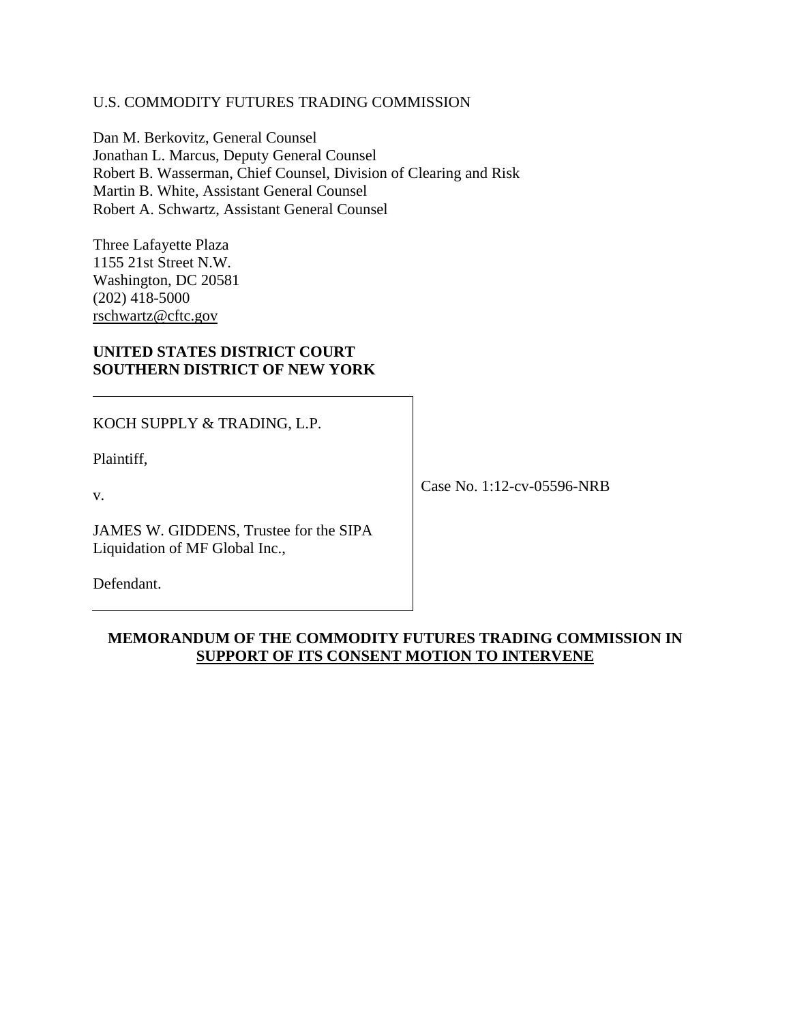## U.S. COMMODITY FUTURES TRADING COMMISSION

Dan M. Berkovitz, General Counsel Jonathan L. Marcus, Deputy General Counsel Robert B. Wasserman, Chief Counsel, Division of Clearing and Risk Martin B. White, Assistant General Counsel Robert A. Schwartz, Assistant General Counsel

Three Lafayette Plaza 1155 21st Street N.W. Washington, DC 20581 (202) 418-5000 rschwartz@cftc.gov

## **UNITED STATES DISTRICT COURT SOUTHERN DISTRICT OF NEW YORK**

KOCH SUPPLY & TRADING, L.P.

Plaintiff,

v.

JAMES W. GIDDENS, Trustee for the SIPA Liquidation of MF Global Inc.,

Defendant.

Case No. 1:12-cv-05596-NRB

# **MEMORANDUM OF THE COMMODITY FUTURES TRADING COMMISSION IN SUPPORT OF ITS CONSENT MOTION TO INTERVENE**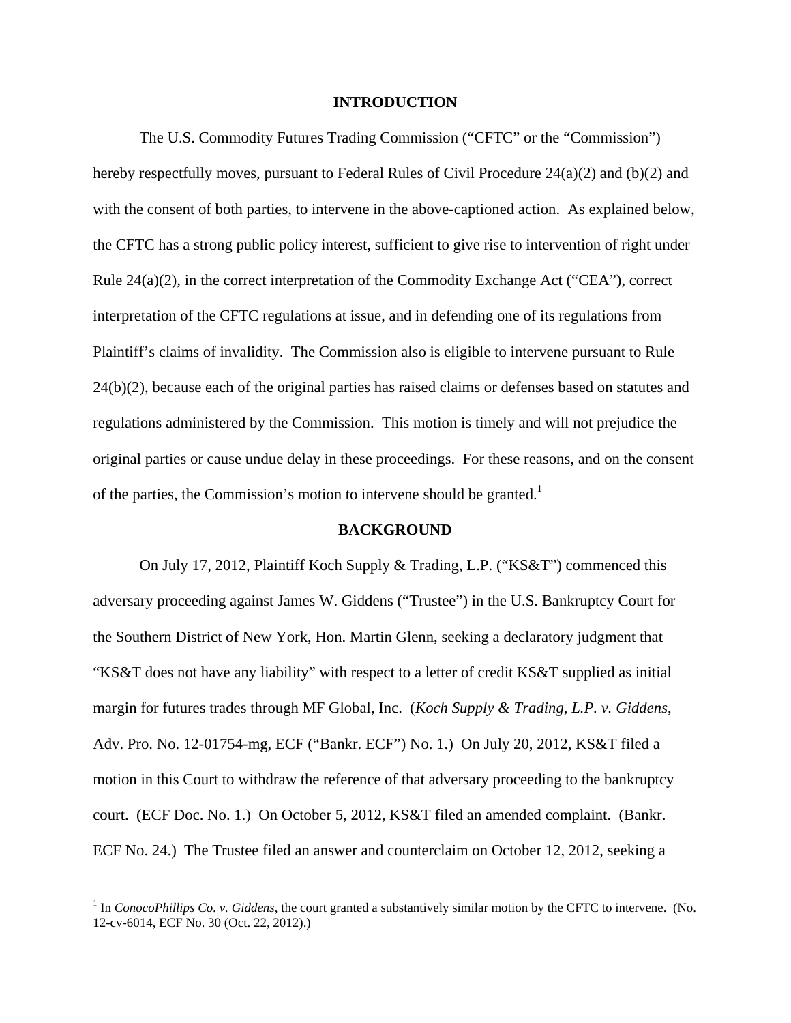### **INTRODUCTION**

 The U.S. Commodity Futures Trading Commission ("CFTC" or the "Commission") hereby respectfully moves, pursuant to Federal Rules of Civil Procedure 24(a)(2) and (b)(2) and with the consent of both parties, to intervene in the above-captioned action. As explained below, the CFTC has a strong public policy interest, sufficient to give rise to intervention of right under Rule  $24(a)(2)$ , in the correct interpretation of the Commodity Exchange Act ("CEA"), correct interpretation of the CFTC regulations at issue, and in defending one of its regulations from Plaintiff's claims of invalidity. The Commission also is eligible to intervene pursuant to Rule 24(b)(2), because each of the original parties has raised claims or defenses based on statutes and regulations administered by the Commission. This motion is timely and will not prejudice the original parties or cause undue delay in these proceedings. For these reasons, and on the consent of the parties, the Commission's motion to intervene should be granted.<sup>1</sup>

#### **BACKGROUND**

 On July 17, 2012, Plaintiff Koch Supply & Trading, L.P. ("KS&T") commenced this adversary proceeding against James W. Giddens ("Trustee") in the U.S. Bankruptcy Court for the Southern District of New York, Hon. Martin Glenn, seeking a declaratory judgment that "KS&T does not have any liability" with respect to a letter of credit KS&T supplied as initial margin for futures trades through MF Global, Inc. (*Koch Supply & Trading, L.P. v. Giddens*, Adv. Pro. No. 12-01754-mg, ECF ("Bankr. ECF") No. 1.) On July 20, 2012, KS&T filed a motion in this Court to withdraw the reference of that adversary proceeding to the bankruptcy court. (ECF Doc. No. 1.) On October 5, 2012, KS&T filed an amended complaint. (Bankr. ECF No. 24.) The Trustee filed an answer and counterclaim on October 12, 2012, seeking a

 $\overline{a}$ 

 $1$  In *ConocoPhillips Co. v. Giddens*, the court granted a substantively similar motion by the CFTC to intervene. (No. 12-cv-6014, ECF No. 30 (Oct. 22, 2012).)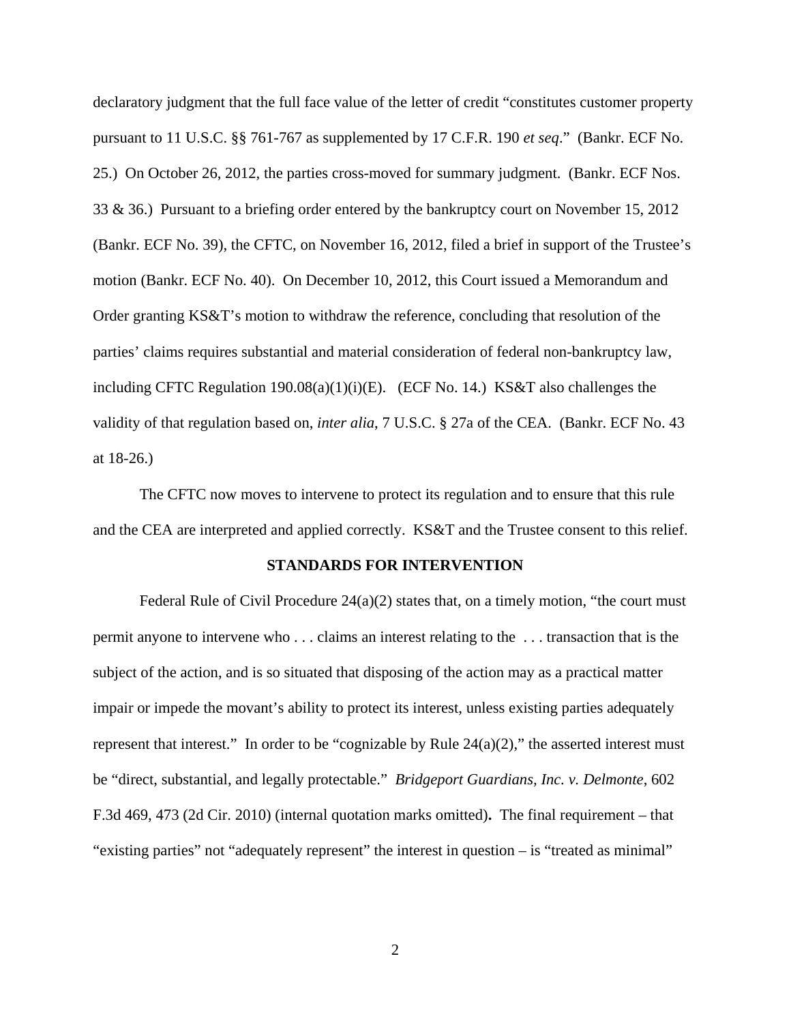declaratory judgment that the full face value of the letter of credit "constitutes customer property pursuant to 11 U.S.C. §§ 761-767 as supplemented by 17 C.F.R. 190 *et seq*." (Bankr. ECF No. 25.) On October 26, 2012, the parties cross-moved for summary judgment. (Bankr. ECF Nos. 33 & 36.) Pursuant to a briefing order entered by the bankruptcy court on November 15, 2012 (Bankr. ECF No. 39), the CFTC, on November 16, 2012, filed a brief in support of the Trustee's motion (Bankr. ECF No. 40). On December 10, 2012, this Court issued a Memorandum and Order granting KS&T's motion to withdraw the reference, concluding that resolution of the parties' claims requires substantial and material consideration of federal non-bankruptcy law, including CFTC Regulation  $190.08(a)(1)(i)(E)$ . (ECF No. 14.) KS&T also challenges the validity of that regulation based on, *inter alia*, 7 U.S.C. § 27a of the CEA. (Bankr. ECF No. 43 at 18-26.)

 The CFTC now moves to intervene to protect its regulation and to ensure that this rule and the CEA are interpreted and applied correctly. KS&T and the Trustee consent to this relief.

#### **STANDARDS FOR INTERVENTION**

Federal Rule of Civil Procedure  $24(a)(2)$  states that, on a timely motion, "the court must permit anyone to intervene who . . . claims an interest relating to the . . . transaction that is the subject of the action, and is so situated that disposing of the action may as a practical matter impair or impede the movant's ability to protect its interest, unless existing parties adequately represent that interest." In order to be "cognizable by Rule  $24(a)(2)$ ," the asserted interest must be "direct, substantial, and legally protectable." *Bridgeport Guardians, Inc. v. Delmonte*, 602 F.3d 469, 473 (2d Cir. 2010) (internal quotation marks omitted)**.** The final requirement – that "existing parties" not "adequately represent" the interest in question – is "treated as minimal"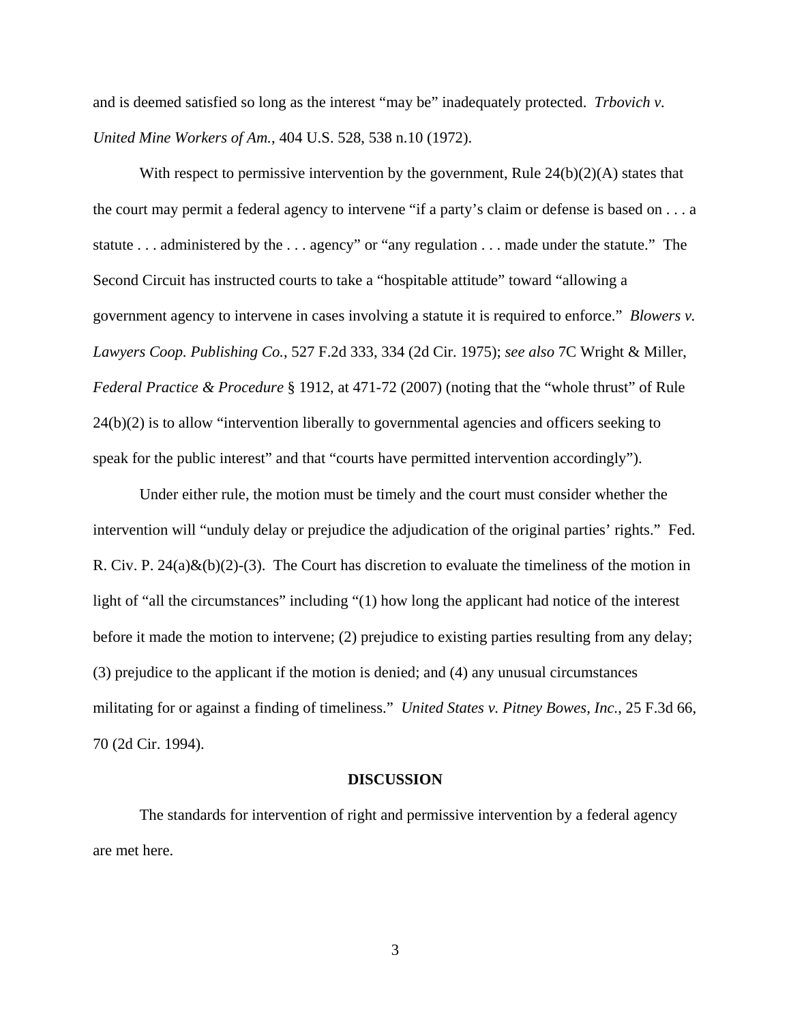and is deemed satisfied so long as the interest "may be" inadequately protected. *Trbovich v. United Mine Workers of Am.*, 404 U.S. 528, 538 n.10 (1972).

With respect to permissive intervention by the government, Rule 24(b)(2)(A) states that the court may permit a federal agency to intervene "if a party's claim or defense is based on . . . a statute . . . administered by the . . . agency" or "any regulation . . . made under the statute." The Second Circuit has instructed courts to take a "hospitable attitude" toward "allowing a government agency to intervene in cases involving a statute it is required to enforce." *Blowers v. Lawyers Coop. Publishing Co.*, 527 F.2d 333, 334 (2d Cir. 1975); *see also* 7C Wright & Miller, *Federal Practice & Procedure* § 1912, at 471-72 (2007) (noting that the "whole thrust" of Rule 24(b)(2) is to allow "intervention liberally to governmental agencies and officers seeking to speak for the public interest" and that "courts have permitted intervention accordingly").

 Under either rule, the motion must be timely and the court must consider whether the intervention will "unduly delay or prejudice the adjudication of the original parties' rights." Fed. R. Civ. P.  $24(a)\&(b)(2)-(3)$ . The Court has discretion to evaluate the timeliness of the motion in light of "all the circumstances" including "(1) how long the applicant had notice of the interest before it made the motion to intervene; (2) prejudice to existing parties resulting from any delay; (3) prejudice to the applicant if the motion is denied; and (4) any unusual circumstances militating for or against a finding of timeliness." *United States v. Pitney Bowes, Inc.*, 25 F.3d 66, 70 (2d Cir. 1994).

#### **DISCUSSION**

The standards for intervention of right and permissive intervention by a federal agency are met here.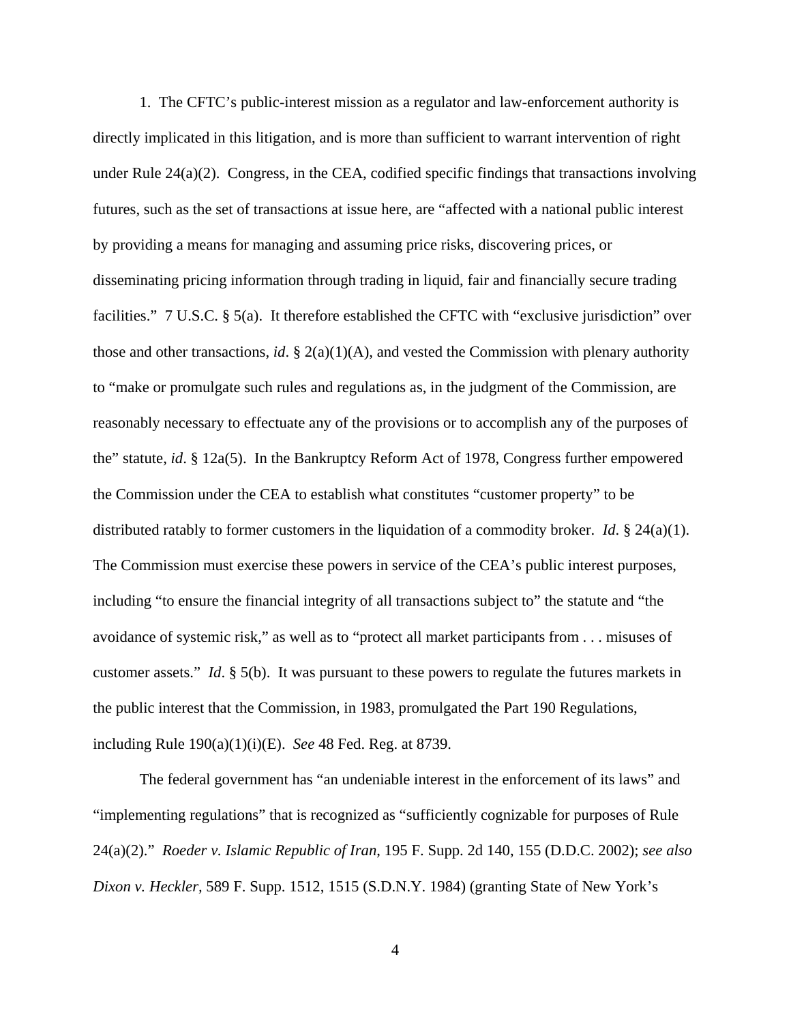1. The CFTC's public-interest mission as a regulator and law-enforcement authority is directly implicated in this litigation, and is more than sufficient to warrant intervention of right under Rule 24(a)(2). Congress, in the CEA, codified specific findings that transactions involving futures, such as the set of transactions at issue here, are "affected with a national public interest by providing a means for managing and assuming price risks, discovering prices, or disseminating pricing information through trading in liquid, fair and financially secure trading facilities." 7 U.S.C. § 5(a). It therefore established the CFTC with "exclusive jurisdiction" over those and other transactions, *id*. §  $2(a)(1)(A)$ , and vested the Commission with plenary authority to "make or promulgate such rules and regulations as, in the judgment of the Commission, are reasonably necessary to effectuate any of the provisions or to accomplish any of the purposes of the" statute, *id*. § 12a(5). In the Bankruptcy Reform Act of 1978, Congress further empowered the Commission under the CEA to establish what constitutes "customer property" to be distributed ratably to former customers in the liquidation of a commodity broker. *Id*. § 24(a)(1). The Commission must exercise these powers in service of the CEA's public interest purposes, including "to ensure the financial integrity of all transactions subject to" the statute and "the avoidance of systemic risk," as well as to "protect all market participants from . . . misuses of customer assets." *Id*. § 5(b). It was pursuant to these powers to regulate the futures markets in the public interest that the Commission, in 1983, promulgated the Part 190 Regulations, including Rule 190(a)(1)(i)(E). *See* 48 Fed. Reg. at 8739.

The federal government has "an undeniable interest in the enforcement of its laws" and "implementing regulations" that is recognized as "sufficiently cognizable for purposes of Rule 24(a)(2)." *Roeder v. Islamic Republic of Iran*, 195 F. Supp. 2d 140, 155 (D.D.C. 2002); *see also Dixon v. Heckler,* 589 F. Supp. 1512, 1515 (S.D.N.Y. 1984) (granting State of New York's

4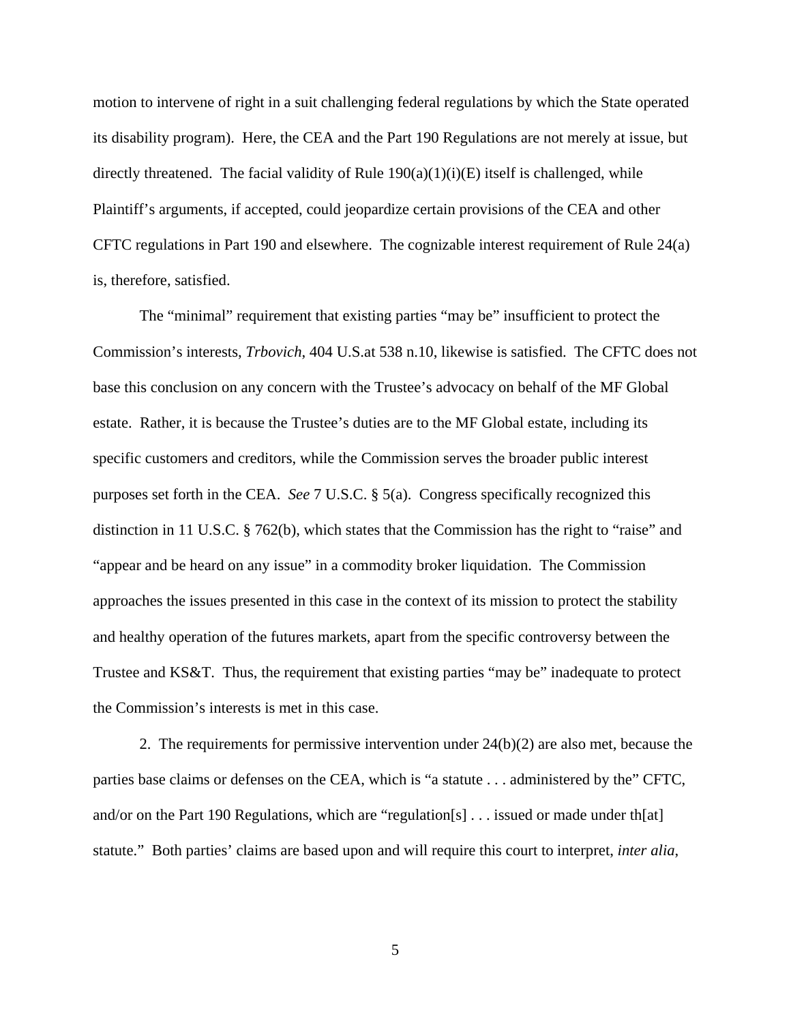motion to intervene of right in a suit challenging federal regulations by which the State operated its disability program). Here, the CEA and the Part 190 Regulations are not merely at issue, but directly threatened. The facial validity of Rule  $190(a)(1)(i)(E)$  itself is challenged, while Plaintiff's arguments, if accepted, could jeopardize certain provisions of the CEA and other CFTC regulations in Part 190 and elsewhere. The cognizable interest requirement of Rule 24(a) is, therefore, satisfied.

The "minimal" requirement that existing parties "may be" insufficient to protect the Commission's interests, *Trbovich*, 404 U.S.at 538 n.10, likewise is satisfied. The CFTC does not base this conclusion on any concern with the Trustee's advocacy on behalf of the MF Global estate. Rather, it is because the Trustee's duties are to the MF Global estate, including its specific customers and creditors, while the Commission serves the broader public interest purposes set forth in the CEA. *See* 7 U.S.C. § 5(a). Congress specifically recognized this distinction in 11 U.S.C. § 762(b), which states that the Commission has the right to "raise" and "appear and be heard on any issue" in a commodity broker liquidation. The Commission approaches the issues presented in this case in the context of its mission to protect the stability and healthy operation of the futures markets, apart from the specific controversy between the Trustee and KS&T. Thus, the requirement that existing parties "may be" inadequate to protect the Commission's interests is met in this case.

2. The requirements for permissive intervention under  $24(b)(2)$  are also met, because the parties base claims or defenses on the CEA, which is "a statute . . . administered by the" CFTC, and/or on the Part 190 Regulations, which are "regulation[s] . . . issued or made under th[at] statute." Both parties' claims are based upon and will require this court to interpret, *inter alia*,

5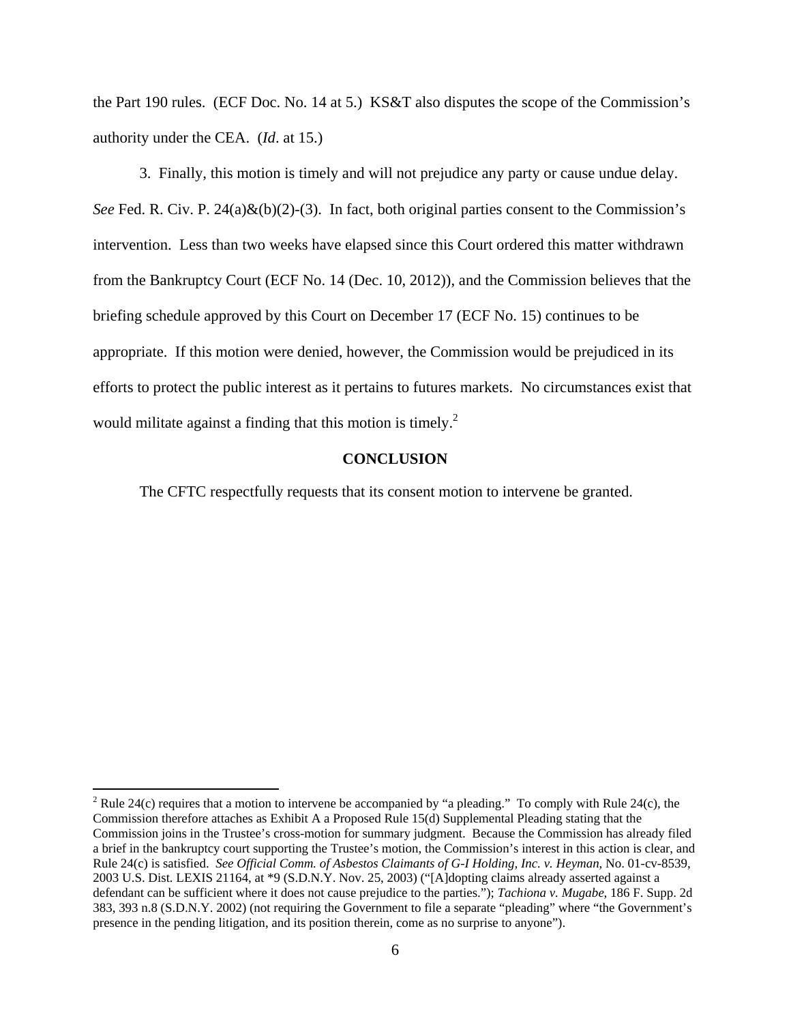the Part 190 rules. (ECF Doc. No. 14 at 5.) KS&T also disputes the scope of the Commission's authority under the CEA. (*Id*. at 15.)

3. Finally, this motion is timely and will not prejudice any party or cause undue delay. *See* Fed. R. Civ. P. 24(a)&(b)(2)-(3). In fact, both original parties consent to the Commission's intervention. Less than two weeks have elapsed since this Court ordered this matter withdrawn from the Bankruptcy Court (ECF No. 14 (Dec. 10, 2012)), and the Commission believes that the briefing schedule approved by this Court on December 17 (ECF No. 15) continues to be appropriate. If this motion were denied, however, the Commission would be prejudiced in its efforts to protect the public interest as it pertains to futures markets. No circumstances exist that would militate against a finding that this motion is timely. $^{2}$ 

## **CONCLUSION**

The CFTC respectfully requests that its consent motion to intervene be granted.

1

<sup>&</sup>lt;sup>2</sup> Rule 24(c) requires that a motion to intervene be accompanied by "a pleading." To comply with Rule 24(c), the Commission therefore attaches as Exhibit A a Proposed Rule 15(d) Supplemental Pleading stating that the Commission joins in the Trustee's cross-motion for summary judgment. Because the Commission has already filed a brief in the bankruptcy court supporting the Trustee's motion, the Commission's interest in this action is clear, and Rule 24(c) is satisfied. *See Official Comm. of Asbestos Claimants of G-I Holding, Inc. v. Heyman*, No. 01-cv-8539, 2003 U.S. Dist. LEXIS 21164, at \*9 (S.D.N.Y. Nov. 25, 2003) ("[A]dopting claims already asserted against a defendant can be sufficient where it does not cause prejudice to the parties."); *Tachiona v. Mugabe*, 186 F. Supp. 2d 383, 393 n.8 (S.D.N.Y. 2002) (not requiring the Government to file a separate "pleading" where "the Government's presence in the pending litigation, and its position therein, come as no surprise to anyone").